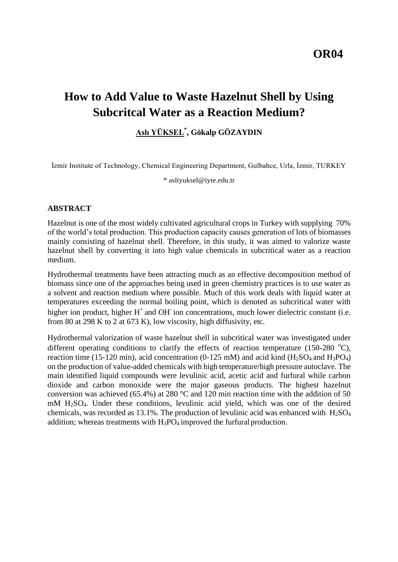**OR04**

# **How to Add Value to Waste Hazelnut Shell by Using Subcritcal Water as a Reaction Medium?**

# **Aslı YÜKSEL\* , Gökalp GÖZAYDIN**

İzmir Institute of Technology, Chemical Engineering Department, Gulbahce, Urla, İzmir, TURKEY

\* [asliyuksel@iyte.edu.tr](mailto:asliyuksel@iyte.edu.tr)

#### **ABSTRACT**

Hazelnut is one of the most widely cultivated agricultural crops in Turkey with supplying 70% of the world's total production. This production capacity causes generation of lots of biomasses mainly consisting of hazelnut shell. Therefore, in this study, it was aimed to valorize waste hazelnut shell by converting it into high value chemicals in subcritical water as a reaction medium.

Hydrothermal treatments have been attracting much as an effective decomposition method of biomass since one of the approaches being used in green chemistry practices is to use water as a solvent and reaction medium where possible. Much of this work deals with liquid water at temperatures exceeding the normal boiling point, which is denoted as subcritical water with higher ion product, higher  $H^+$  and OH ion concentrations, much lower dielectric constant (i.e. from 80 at 298 K to 2 at 673 K), low viscosity, high diffusivity, etc.

Hydrothermal valorization of waste hazelnut shell in subcritical water was investigated under different operating conditions to clarify the effects of reaction temperature (150-280  $^{\circ}$ C), reaction time (15-120 min), acid concentration (0-125 mM) and acid kind (H<sub>2</sub>SO<sub>4</sub> and H<sub>3</sub>PO<sub>4</sub>) on the production of value-added chemicals with high temperature/high pressure autoclave. The main identified liquid compounds were levulinic acid, acetic acid and furfural while carbon dioxide and carbon monoxide were the major gaseous products. The highest hazelnut conversion was achieved (65.4%) at 280 °C and 120 min reaction time with the addition of 50 mM H2SO4. Under these conditions, levulinic acid yield, which was one of the desired chemicals, was recorded as 13.1%. The production of levulinic acid was enhanced with  $H<sub>2</sub>SO<sub>4</sub>$ addition; whereas treatments with  $H_3PO_4$  improved the furfural production.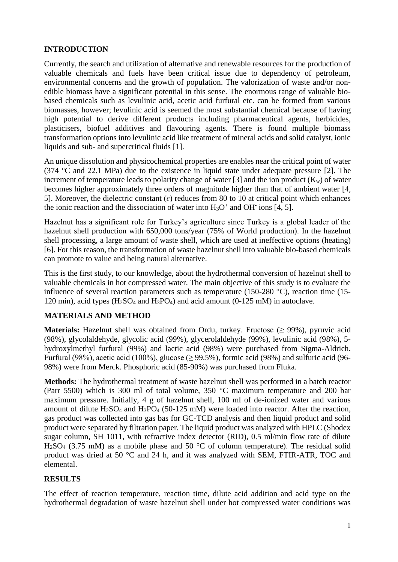### **INTRODUCTION**

Currently, the search and utilization of alternative and renewable resources for the production of valuable chemicals and fuels have been critical issue due to dependency of petroleum, environmental concerns and the growth of population. The valorization of waste and/or nonedible biomass have a significant potential in this sense. The enormous range of valuable biobased chemicals such as levulinic acid, acetic acid furfural etc. can be formed from various biomasses, however; levulinic acid is seemed the most substantial chemical because of having high potential to derive different products including pharmaceutical agents, herbicides, plasticisers, biofuel additives and flavouring agents. There is found multiple biomass transformation options into levulinic acid like treatment of mineral acids and solid catalyst, ionic liquids and sub- and supercritical fluids [1].

An unique dissolution and physicochemical properties are enables near the critical point of water (374 °C and 22.1 MPa) due to the existence in liquid state under adequate pressure [2]. The increment of temperature leads to polarity change of water [3] and the ion product  $(K_w)$  of water becomes higher approximately three orders of magnitude higher than that of ambient water [4, 5]. Moreover, the dielectric constant  $(\varepsilon)$  reduces from 80 to 10 at critical point which enhances the ionic reaction and the dissociation of water into  $H_3O^+$  and OH<sup>-</sup> ions [4, 5].

Hazelnut has a significant role for Turkey's agriculture since Turkey is a global leader of the hazelnut shell production with 650,000 tons/year (75% of World production). In the hazelnut shell processing, a large amount of waste shell, which are used at ineffective options (heating) [6]. For this reason, the transformation of waste hazelnut shell into valuable bio-based chemicals can promote to value and being natural alternative.

This is the first study, to our knowledge, about the hydrothermal conversion of hazelnut shell to valuable chemicals in hot compressed water. The main objective of this study is to evaluate the influence of several reaction parameters such as temperature (150-280 °C), reaction time (15- 120 min), acid types  $(H_2SO_4$  and  $H_3PO_4$  and acid amount  $(0-125 \text{ mM})$  in autoclave.

## **MATERIALS AND METHOD**

**Materials:** Hazelnut shell was obtained from Ordu, turkey. Fructose (≥ 99%), pyruvic acid (98%), glycolaldehyde, glycolic acid (99%), glycerolaldehyde (99%), levulinic acid (98%), 5 hydroxylmethyl furfural (99%) and lactic acid (98%) were purchased from Sigma-Aldrich. Furfural (98%), acetic acid (100%), glucose ( $\geq$  99.5%), formic acid (98%) and sulfuric acid (96-98%) were from Merck. Phosphoric acid (85-90%) was purchased from Fluka.

**Methods:** The hydrothermal treatment of waste hazelnut shell was performed in a batch reactor (Parr 5500) which is 300 ml of total volume, 350 °C maximum temperature and 200 bar maximum pressure. Initially, 4 g of hazelnut shell, 100 ml of de-ionized water and various amount of dilute  $H_2SO_4$  and  $H_3PO_4$  (50-125 mM) were loaded into reactor. After the reaction, gas product was collected into gas bas for GC-TCD analysis and then liquid product and solid product were separated by filtration paper. The liquid product was analyzed with HPLC (Shodex sugar column, SH 1011, with refractive index detector (RID), 0.5 ml/min flow rate of dilute  $H_2SO_4$  (3.75 mM) as a mobile phase and 50 °C of column temperature). The residual solid product was dried at 50 °C and 24 h, and it was analyzed with SEM, FTIR-ATR, TOC and elemental.

## **RESULTS**

The effect of reaction temperature, reaction time, dilute acid addition and acid type on the hydrothermal degradation of waste hazelnut shell under hot compressed water conditions was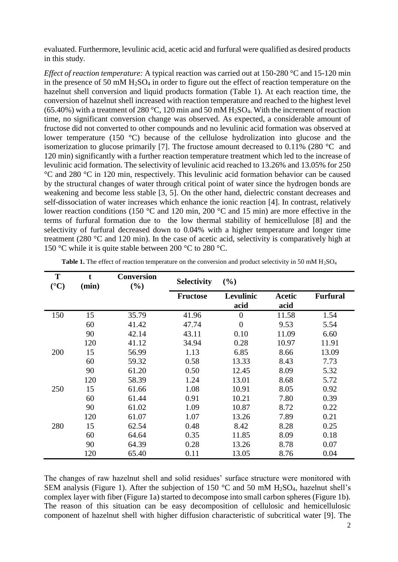evaluated. Furthermore, levulinic acid, acetic acid and furfural were qualified as desired products in this study.

*Effect of reaction temperature:* A typical reaction was carried out at 150-280 °C and 15-120 min in the presence of 50 mM  $H<sub>2</sub>SO<sub>4</sub>$  in order to figure out the effect of reaction temperature on the hazelnut shell conversion and liquid products formation (Table 1). At each reaction time, the conversion of hazelnut shell increased with reaction temperature and reached to the highest level (65.40%) with a treatment of 280 °C, 120 min and 50 mM  $H_2SO_4$ . With the increment of reaction time, no significant conversion change was observed. As expected, a considerable amount of fructose did not converted to other compounds and no levulinic acid formation was observed at lower temperature (150 °C) because of the cellulose hydrolization into glucose and the isomerization to glucose primarily [7]. The fructose amount decreased to 0.11% (280 °C and 120 min) significantly with a further reaction temperature treatment which led to the increase of levulinic acid formation. The selectivity of levulinic acid reached to 13.26% and 13.05% for 250 °C and 280 °C in 120 min, respectively. This levulinic acid formation behavior can be caused by the structural changes of water through critical point of water since the hydrogen bonds are weakening and become less stable [3, 5]. On the other hand, dielectric constant decreases and self-dissociation of water increases which enhance the ionic reaction [4]. In contrast, relatively lower reaction conditions (150 °C and 120 min, 200 °C and 15 min) are more effective in the terms of furfural formation due to the low thermal stability of hemicellulose [8] and the selectivity of furfural decreased down to 0.04% with a higher temperature and longer time treatment (280 °C and 120 min). In the case of acetic acid, selectivity is comparatively high at 150 °C while it is quite stable between 200 °C to 280 °C.

| T<br>$({}^{\circ}C)$ | (min) | <b>Conversion</b><br>(%) | <b>Selectivity</b> | (%)               |                |                 |
|----------------------|-------|--------------------------|--------------------|-------------------|----------------|-----------------|
|                      |       |                          | <b>Fructose</b>    | Levulinic<br>acid | Acetic<br>acid | <b>Furfural</b> |
| 150                  | 15    | 35.79                    | 41.96              | $\overline{0}$    | 11.58          | 1.54            |
|                      | 60    | 41.42                    | 47.74              | $\overline{0}$    | 9.53           | 5.54            |
|                      | 90    | 42.14                    | 43.11              | 0.10              | 11.09          | 6.60            |
|                      | 120   | 41.12                    | 34.94              | 0.28              | 10.97          | 11.91           |
| 200                  | 15    | 56.99                    | 1.13               | 6.85              | 8.66           | 13.09           |
|                      | 60    | 59.32                    | 0.58               | 13.33             | 8.43           | 7.73            |
|                      | 90    | 61.20                    | 0.50               | 12.45             | 8.09           | 5.32            |
|                      | 120   | 58.39                    | 1.24               | 13.01             | 8.68           | 5.72            |
| 250                  | 15    | 61.66                    | 1.08               | 10.91             | 8.05           | 0.92            |
|                      | 60    | 61.44                    | 0.91               | 10.21             | 7.80           | 0.39            |
|                      | 90    | 61.02                    | 1.09               | 10.87             | 8.72           | 0.22            |
|                      | 120   | 61.07                    | 1.07               | 13.26             | 7.89           | 0.21            |
| 280                  | 15    | 62.54                    | 0.48               | 8.42              | 8.28           | 0.25            |
|                      | 60    | 64.64                    | 0.35               | 11.85             | 8.09           | 0.18            |
|                      | 90    | 64.39                    | 0.28               | 13.26             | 8.78           | 0.07            |
|                      | 120   | 65.40                    | 0.11               | 13.05             | 8.76           | 0.04            |

Table 1. The effect of reaction temperature on the conversion and product selectivity in 50 mM H<sub>2</sub>SO<sub>4</sub>

The changes of raw hazelnut shell and solid residues' surface structure were monitored with SEM analysis (Figure 1). After the subjection of 150 °C and 50 mM  $H<sub>2</sub>SO<sub>4</sub>$ , hazelnut shell's complex layer with fiber (Figure 1a) started to decompose into small carbon spheres (Figure 1b). The reason of this situation can be easy decomposition of cellulosic and hemicellulosic component of hazelnut shell with higher diffusion characteristic of subcritical water [9]. The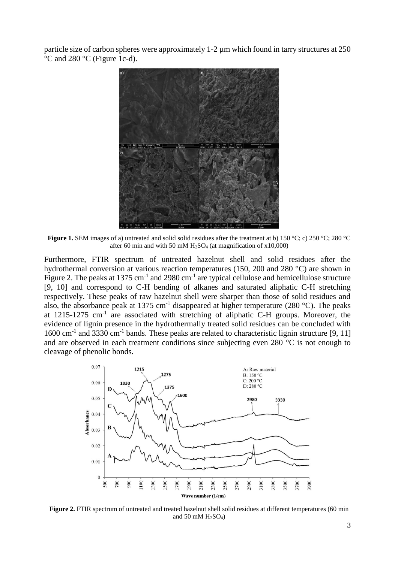particle size of carbon spheres were approximately 1-2 µm which found in tarry structures at 250 °C and 280 °C (Figure 1c-d).



**Figure 1.** SEM images of a) untreated and solid solid residues after the treatment at b) 150 °C; c) 250 °C; 280 °C after 60 min and with 50 mM  $H_2SO_4$  (at magnification of x10,000)

Furthermore, FTIR spectrum of untreated hazelnut shell and solid residues after the hydrothermal conversion at various reaction temperatures (150, 200 and 280 °C) are shown in Figure 2. The peaks at 1375 cm<sup>-1</sup> and 2980 cm<sup>-1</sup> are typical cellulose and hemicellulose structure [9, 10] and correspond to C-H bending of alkanes and saturated aliphatic C-H stretching respectively. These peaks of raw hazelnut shell were sharper than those of solid residues and also, the absorbance peak at 1375 cm<sup>-1</sup> disappeared at higher temperature (280 °C). The peaks at  $1215-1275$  cm<sup>-1</sup> are associated with stretching of aliphatic C-H groups. Moreover, the evidence of lignin presence in the hydrothermally treated solid residues can be concluded with 1600 cm<sup>-1</sup> and 3330 cm<sup>-1</sup> bands. These peaks are related to characteristic lignin structure [9, 11] and are observed in each treatment conditions since subjecting even 280 °C is not enough to cleavage of phenolic bonds.



**Figure 2.** FTIR spectrum of untreated and treated hazelnut shell solid residues at different temperatures (60 min and 50 mM  $H<sub>2</sub>SO<sub>4</sub>$ )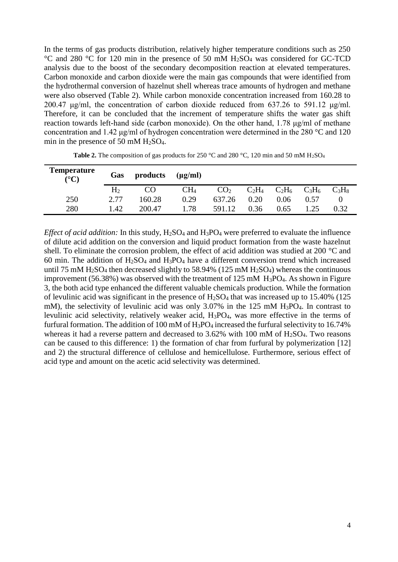In the terms of gas products distribution, relatively higher temperature conditions such as 250 °C and 280 °C for 120 min in the presence of 50 mM H2SO<sup>4</sup> was considered for GC-TCD analysis due to the boost of the secondary decomposition reaction at elevated temperatures. Carbon monoxide and carbon dioxide were the main gas compounds that were identified from the hydrothermal conversion of hazelnut shell whereas trace amounts of hydrogen and methane were also observed (Table 2). While carbon monoxide concentration increased from 160.28 to 200.47 μg/ml, the concentration of carbon dioxide reduced from 637.26 to 591.12 μg/ml. Therefore, it can be concluded that the increment of temperature shifts the water gas shift reaction towards left-hand side (carbon monoxide). On the other hand, 1.78 μg/ml of methane concentration and 1.42 μg/ml of hydrogen concentration were determined in the 280 °C and 120 min in the presence of 50 mM H2SO4.

| <b>Temperature</b><br>$({}^{\circ}{\rm C})$ | Gas            | products | $(\mu g/ml)$    |                 |          |          |          |          |
|---------------------------------------------|----------------|----------|-----------------|-----------------|----------|----------|----------|----------|
|                                             | H <sub>2</sub> | CO       | CH <sub>4</sub> | CO <sub>2</sub> | $C_2H_4$ | $C_2H_6$ | $C_3H_6$ | $C_3H_8$ |
| 250                                         | 2.77           | 160.28   | 0.29            | 637.26          | 0.20     | 0.06     | 0.57     |          |
| 280                                         | 1.42           | 200.47   | .78             | 591.12          | 0.36     | 0.65     |          | 0.32     |

**Table 2.** The composition of gas products for 250 °C and 280 °C, 120 min and 50 mM H<sub>2</sub>SO<sub>4</sub>

*Effect of acid addition:* In this study, H<sub>2</sub>SO<sub>4</sub> and H<sub>3</sub>PO<sub>4</sub> were preferred to evaluate the influence of dilute acid addition on the conversion and liquid product formation from the waste hazelnut shell. To eliminate the corrosion problem, the effect of acid addition was studied at 200 °C and 60 min. The addition of  $H<sub>2</sub>SO<sub>4</sub>$  and  $H<sub>3</sub>PO<sub>4</sub>$  have a different conversion trend which increased until 75 mM  $H_2SO_4$  then decreased slightly to 58.94% (125 mM  $H_2SO_4$ ) whereas the continuous improvement (56.38%) was observed with the treatment of 125 mM H3PO4. As shown in Figure 3, the both acid type enhanced the different valuable chemicals production. While the formation of levulinic acid was significant in the presence of  $H_2SO_4$  that was increased up to 15.40% (125 mM), the selectivity of levulinic acid was only  $3.07\%$  in the 125 mM H<sub>3</sub>PO<sub>4</sub>. In contrast to levulinic acid selectivity, relatively weaker acid, H3PO4, was more effective in the terms of furfural formation. The addition of 100 mM of  $H_3PO_4$  increased the furfural selectivity to 16.74% whereas it had a reverse pattern and decreased to 3.62% with 100 mM of H<sub>2</sub>SO<sub>4</sub>. Two reasons can be caused to this difference: 1) the formation of char from furfural by polymerization [12] and 2) the structural difference of cellulose and hemicellulose. Furthermore, serious effect of acid type and amount on the acetic acid selectivity was determined.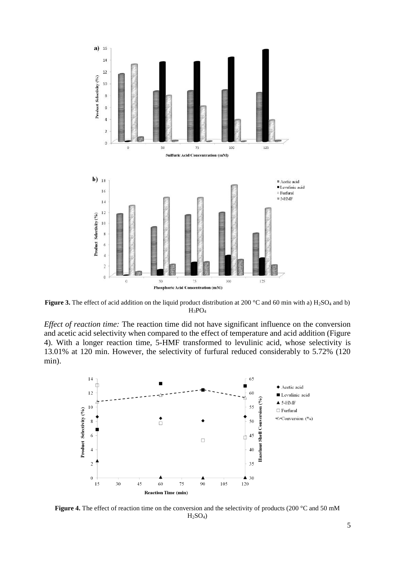

**Figure 3.** The effect of acid addition on the liquid product distribution at 200 °C and 60 min with a) H<sub>2</sub>SO<sub>4</sub> and b)  $H_3PO_4$ 

*Effect of reaction time:* The reaction time did not have significant influence on the conversion and acetic acid selectivity when compared to the effect of temperature and acid addition (Figure 4). With a longer reaction time, 5-HMF transformed to levulinic acid, whose selectivity is 13.01% at 120 min. However, the selectivity of furfural reduced considerably to 5.72% (120 min).



Figure 4. The effect of reaction time on the conversion and the selectivity of products (200 °C and 50 mM  $H<sub>2</sub>SO<sub>4</sub>$ )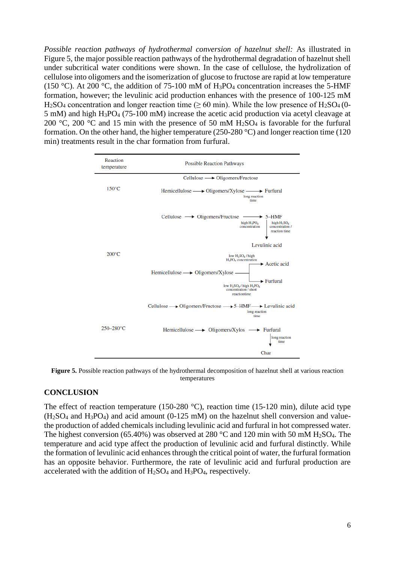*Possible reaction pathways of hydrothermal conversion of hazelnut shell:* As illustrated in Figure 5, the major possible reaction pathways of the hydrothermal degradation of hazelnut shell under subcritical water conditions were shown. In the case of cellulose, the hydrolization of cellulose into oligomers and the isomerization of glucose to fructose are rapid at low temperature (150 °C). At 200 °C, the addition of 75-100 mM of H<sub>3</sub>PO<sub>4</sub> concentration increases the 5-HMF formation, however; the levulinic acid production enhances with the presence of 100-125 mM H<sub>2</sub>SO<sub>4</sub> concentration and longer reaction time ( $\geq 60$  min). While the low presence of H<sub>2</sub>SO<sub>4</sub> (0-5 mM) and high H3PO<sup>4</sup> (75-100 mM) increase the acetic acid production via acetyl cleavage at 200 °C, 200 °C and 15 min with the presence of 50 mM  $H_2SO_4$  is favorable for the furfural formation. On the other hand, the higher temperature (250-280 °C) and longer reaction time (120 min) treatments result in the char formation from furfural.



**Figure 5.** Possible reaction pathways of the hydrothermal decomposition of hazelnut shell at various reaction temperatures

#### **CONCLUSION**

The effect of reaction temperature (150-280 °C), reaction time (15-120 min), dilute acid type  $(H<sub>2</sub>SO<sub>4</sub>$  and  $H<sub>3</sub>PO<sub>4</sub>$ ) and acid amount (0-125 mM) on the hazelnut shell conversion and valuethe production of added chemicals including levulinic acid and furfural in hot compressed water. The highest conversion (65.40%) was observed at 280 °C and 120 min with 50 mM H<sub>2</sub>SO<sub>4</sub>. The temperature and acid type affect the production of levulinic acid and furfural distinctly. While the formation of levulinic acid enhances through the critical point of water, the furfural formation has an opposite behavior. Furthermore, the rate of levulinic acid and furfural production are accelerated with the addition of  $H_2SO_4$  and  $H_3PO_4$ , respectively.